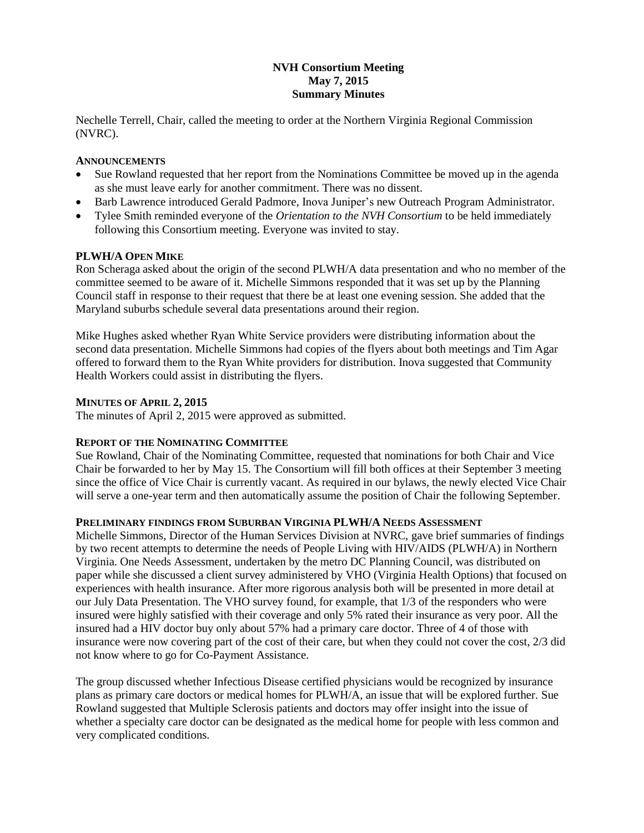# **NVH Consortium Meeting May 7, 2015 Summary Minutes**

Nechelle Terrell, Chair, called the meeting to order at the Northern Virginia Regional Commission (NVRC).

### **ANNOUNCEMENTS**

- Sue Rowland requested that her report from the Nominations Committee be moved up in the agenda as she must leave early for another commitment. There was no dissent.
- Barb Lawrence introduced Gerald Padmore, Inova Juniper's new Outreach Program Administrator.
- Tylee Smith reminded everyone of the *Orientation to the NVH Consortium* to be held immediately following this Consortium meeting. Everyone was invited to stay.

### **PLWH/A OPEN MIKE**

Ron Scheraga asked about the origin of the second PLWH/A data presentation and who no member of the committee seemed to be aware of it. Michelle Simmons responded that it was set up by the Planning Council staff in response to their request that there be at least one evening session. She added that the Maryland suburbs schedule several data presentations around their region.

Mike Hughes asked whether Ryan White Service providers were distributing information about the second data presentation. Michelle Simmons had copies of the flyers about both meetings and Tim Agar offered to forward them to the Ryan White providers for distribution. Inova suggested that Community Health Workers could assist in distributing the flyers.

### **MINUTES OF APRIL 2, 2015**

The minutes of April 2, 2015 were approved as submitted.

### **REPORT OF THE NOMINATING COMMITTEE**

Sue Rowland, Chair of the Nominating Committee, requested that nominations for both Chair and Vice Chair be forwarded to her by May 15. The Consortium will fill both offices at their September 3 meeting since the office of Vice Chair is currently vacant. As required in our bylaws, the newly elected Vice Chair will serve a one-year term and then automatically assume the position of Chair the following September.

#### **PRELIMINARY FINDINGS FROM SUBURBAN VIRGINIA PLWH/A NEEDS ASSESSMENT**

Michelle Simmons, Director of the Human Services Division at NVRC, gave brief summaries of findings by two recent attempts to determine the needs of People Living with HIV/AIDS (PLWH/A) in Northern Virginia. One Needs Assessment, undertaken by the metro DC Planning Council, was distributed on paper while she discussed a client survey administered by VHO (Virginia Health Options) that focused on experiences with health insurance. After more rigorous analysis both will be presented in more detail at our July Data Presentation. The VHO survey found, for example, that 1/3 of the responders who were insured were highly satisfied with their coverage and only 5% rated their insurance as very poor. All the insured had a HIV doctor buy only about 57% had a primary care doctor. Three of 4 of those with insurance were now covering part of the cost of their care, but when they could not cover the cost, 2/3 did not know where to go for Co-Payment Assistance.

The group discussed whether Infectious Disease certified physicians would be recognized by insurance plans as primary care doctors or medical homes for PLWH/A, an issue that will be explored further. Sue Rowland suggested that Multiple Sclerosis patients and doctors may offer insight into the issue of whether a specialty care doctor can be designated as the medical home for people with less common and very complicated conditions.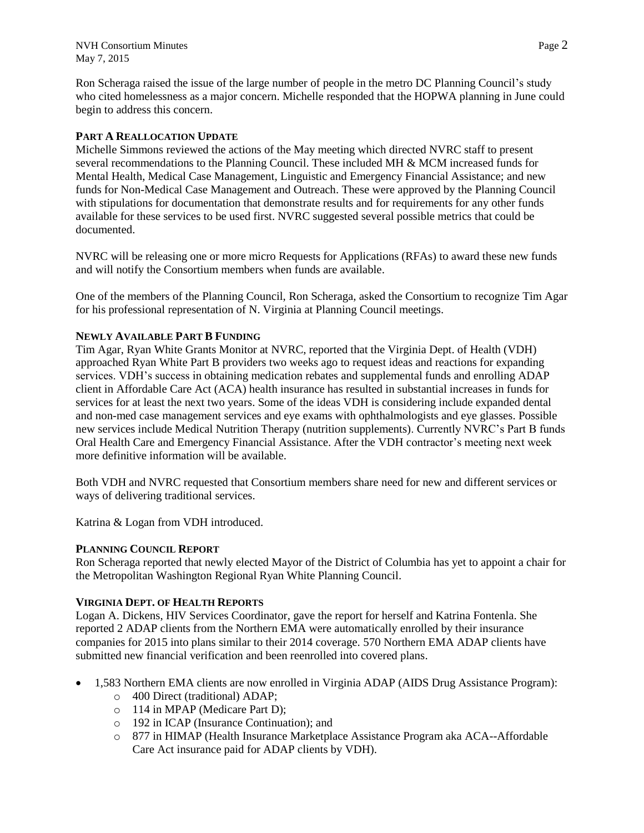NVH Consortium Minutes **Page 2** May 7, 2015

Ron Scheraga raised the issue of the large number of people in the metro DC Planning Council's study who cited homelessness as a major concern. Michelle responded that the HOPWA planning in June could begin to address this concern.

### **PART A REALLOCATION UPDATE**

Michelle Simmons reviewed the actions of the May meeting which directed NVRC staff to present several recommendations to the Planning Council. These included MH & MCM increased funds for Mental Health, Medical Case Management, Linguistic and Emergency Financial Assistance; and new funds for Non-Medical Case Management and Outreach. These were approved by the Planning Council with stipulations for documentation that demonstrate results and for requirements for any other funds available for these services to be used first. NVRC suggested several possible metrics that could be documented.

NVRC will be releasing one or more micro Requests for Applications (RFAs) to award these new funds and will notify the Consortium members when funds are available.

One of the members of the Planning Council, Ron Scheraga, asked the Consortium to recognize Tim Agar for his professional representation of N. Virginia at Planning Council meetings.

## **NEWLY AVAILABLE PART B FUNDING**

Tim Agar, Ryan White Grants Monitor at NVRC, reported that the Virginia Dept. of Health (VDH) approached Ryan White Part B providers two weeks ago to request ideas and reactions for expanding services. VDH's success in obtaining medication rebates and supplemental funds and enrolling ADAP client in Affordable Care Act (ACA) health insurance has resulted in substantial increases in funds for services for at least the next two years. Some of the ideas VDH is considering include expanded dental and non-med case management services and eye exams with ophthalmologists and eye glasses. Possible new services include Medical Nutrition Therapy (nutrition supplements). Currently NVRC's Part B funds Oral Health Care and Emergency Financial Assistance. After the VDH contractor's meeting next week more definitive information will be available.

Both VDH and NVRC requested that Consortium members share need for new and different services or ways of delivering traditional services.

Katrina & Logan from VDH introduced.

### **PLANNING COUNCIL REPORT**

Ron Scheraga reported that newly elected Mayor of the District of Columbia has yet to appoint a chair for the Metropolitan Washington Regional Ryan White Planning Council.

### **VIRGINIA DEPT. OF HEALTH REPORTS**

Logan A. Dickens, HIV Services Coordinator, gave the report for herself and Katrina Fontenla. She reported 2 ADAP clients from the Northern EMA were automatically enrolled by their insurance companies for 2015 into plans similar to their 2014 coverage. 570 Northern EMA ADAP clients have submitted new financial verification and been reenrolled into covered plans.

- 1,583 Northern EMA clients are now enrolled in Virginia ADAP (AIDS Drug Assistance Program):
	- o 400 Direct (traditional) ADAP;
	- o 114 in MPAP (Medicare Part D);
	- o 192 in ICAP (Insurance Continuation); and
	- o 877 in HIMAP (Health Insurance Marketplace Assistance Program aka ACA--Affordable Care Act insurance paid for ADAP clients by VDH).